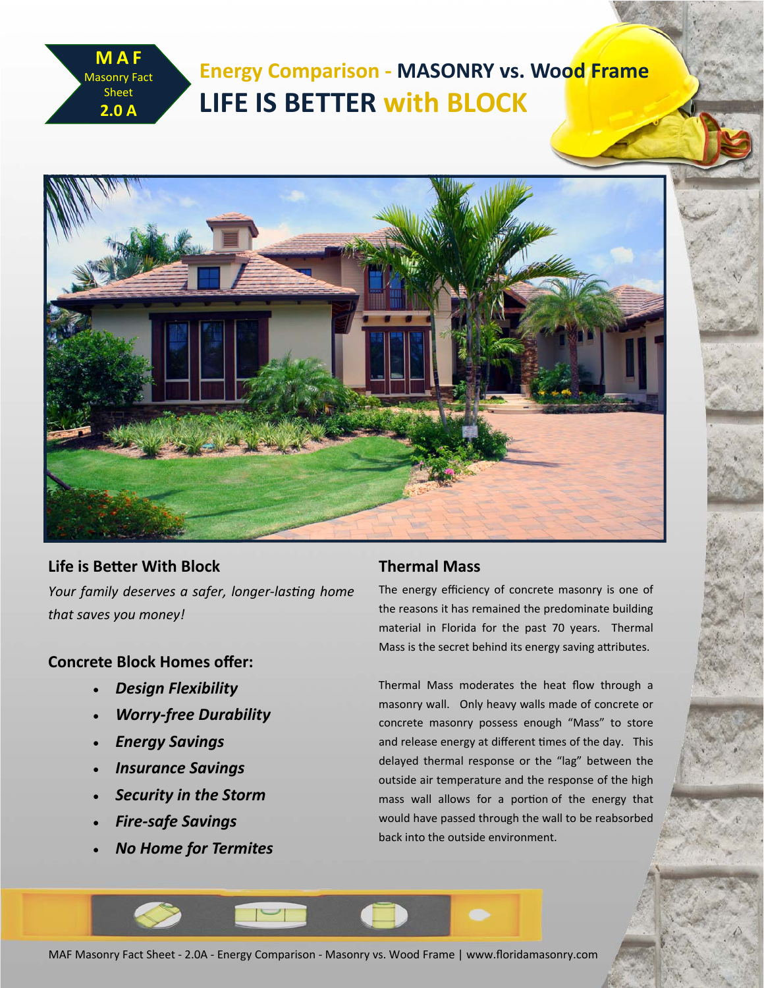# **Energy Comparison ‐ MASONRY vs. Wood Frame LIFE IS BETTER with BLOCK**



**Life is BeƩer With Block** *Your family deserves a safer, longer‐lasƟng home that saves you money!*

## **Concrete Block Homes offer:**

**MAF**  Masonry Fact Sheet **2.0 A**

- *Design Flexibility*
- *Worry‐free Durability*
- *Energy Savings*
- *Insurance Savings*
- *Security in the Storm*
- *Fire‐safe Savings*
- *No Home for Termites*

## **Thermal Mass**

The energy efficiency of concrete masonry is one of the reasons it has remained the predominate building material in Florida for the past 70 years. Thermal Mass is the secret behind its energy saving attributes.

Thermal Mass moderates the heat flow through a masonry wall. Only heavy walls made of concrete or concrete masonry possess enough "Mass" to store and release energy at different times of the day. This delayed thermal response or the "lag" between the outside air temperature and the response of the high mass wall allows for a portion of the energy that would have passed through the wall to be reabsorbed back into the outside environment.

MAF Masonry Fact Sheet ‐ 2.0A ‐ Energy Comparison ‐ Masonry vs. Wood Frame | www.floridamasonry.com